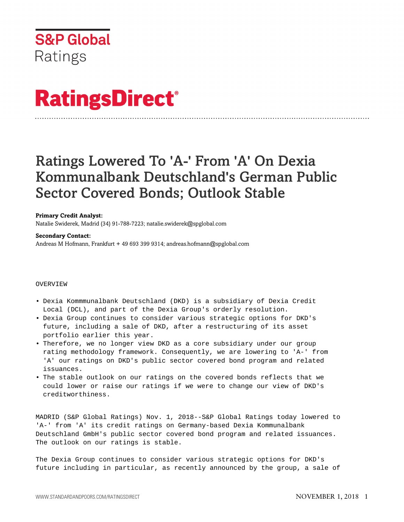

# **RatingsDirect®**

## Ratings Lowered To 'A-' From 'A' On Dexia Kommunalbank Deutschland's German Public Sector Covered Bonds; Outlook Stable

### **Primary Credit Analyst:**

Natalie Swiderek, Madrid (34) 91-788-7223; natalie.swiderek@spglobal.com

#### **Secondary Contact:**

Andreas M Hofmann, Frankfurt + 49 693 399 9314; andreas.hofmann@spglobal.com

### OVERVIEW

- Dexia Kommmunalbank Deutschland (DKD) is a subsidiary of Dexia Credit Local (DCL), and part of the Dexia Group's orderly resolution.
- Dexia Group continues to consider various strategic options for DKD's future, including a sale of DKD, after a restructuring of its asset portfolio earlier this year.
- Therefore, we no longer view DKD as a core subsidiary under our group rating methodology framework. Consequently, we are lowering to 'A-' from 'A' our ratings on DKD's public sector covered bond program and related issuances.
- The stable outlook on our ratings on the covered bonds reflects that we could lower or raise our ratings if we were to change our view of DKD's creditworthiness.

MADRID (S&P Global Ratings) Nov. 1, 2018--S&P Global Ratings today lowered to 'A-' from 'A' its credit ratings on Germany-based Dexia Kommunalbank Deutschland GmbH's public sector covered bond program and related issuances. The outlook on our ratings is stable.

The Dexia Group continues to consider various strategic options for DKD's future including in particular, as recently announced by the group, a sale of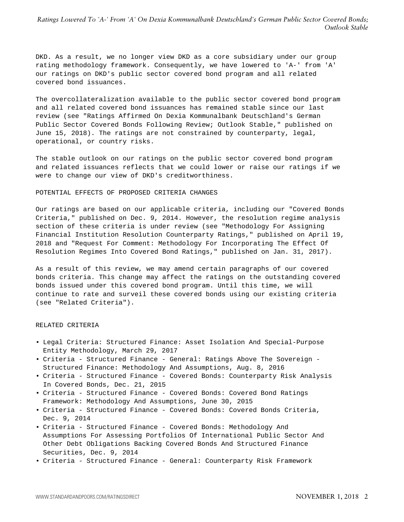DKD. As a result, we no longer view DKD as a core subsidiary under our group rating methodology framework. Consequently, we have lowered to 'A-' from 'A' our ratings on DKD's public sector covered bond program and all related covered bond issuances.

The overcollateralization available to the public sector covered bond program and all related covered bond issuances has remained stable since our last review (see "Ratings Affirmed On Dexia Kommunalbank Deutschland's German Public Sector Covered Bonds Following Review; Outlook Stable," published on June 15, 2018). The ratings are not constrained by counterparty, legal, operational, or country risks.

The stable outlook on our ratings on the public sector covered bond program and related issuances reflects that we could lower or raise our ratings if we were to change our view of DKD's creditworthiness.

#### POTENTIAL EFFECTS OF PROPOSED CRITERIA CHANGES

Our ratings are based on our applicable criteria, including our "Covered Bonds Criteria," published on Dec. 9, 2014. However, the resolution regime analysis section of these criteria is under review (see "Methodology For Assigning Financial Institution Resolution Counterparty Ratings," published on April 19, 2018 and "Request For Comment: Methodology For Incorporating The Effect Of Resolution Regimes Into Covered Bond Ratings," published on Jan. 31, 2017).

As a result of this review, we may amend certain paragraphs of our covered bonds criteria. This change may affect the ratings on the outstanding covered bonds issued under this covered bond program. Until this time, we will continue to rate and surveil these covered bonds using our existing criteria (see "Related Criteria").

#### RELATED CRITERIA

- Legal Criteria: Structured Finance: Asset Isolation And Special-Purpose Entity Methodology, March 29, 2017
- Criteria Structured Finance General: Ratings Above The Sovereign Structured Finance: Methodology And Assumptions, Aug. 8, 2016
- Criteria Structured Finance Covered Bonds: Counterparty Risk Analysis In Covered Bonds, Dec. 21, 2015
- Criteria Structured Finance Covered Bonds: Covered Bond Ratings Framework: Methodology And Assumptions, June 30, 2015
- Criteria Structured Finance Covered Bonds: Covered Bonds Criteria, Dec. 9, 2014
- Criteria Structured Finance Covered Bonds: Methodology And Assumptions For Assessing Portfolios Of International Public Sector And Other Debt Obligations Backing Covered Bonds And Structured Finance Securities, Dec. 9, 2014
- Criteria Structured Finance General: Counterparty Risk Framework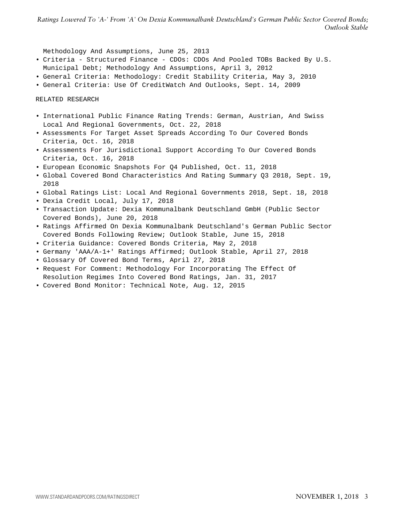*Ratings Lowered To 'A-' From 'A' On Dexia Kommunalbank Deutschland's German Public Sector Covered Bonds; Outlook Stable*

Methodology And Assumptions, June 25, 2013

- Criteria Structured Finance CDOs: CDOs And Pooled TOBs Backed By U.S. Municipal Debt; Methodology And Assumptions, April 3, 2012
- General Criteria: Methodology: Credit Stability Criteria, May 3, 2010
- General Criteria: Use Of CreditWatch And Outlooks, Sept. 14, 2009

RELATED RESEARCH

- International Public Finance Rating Trends: German, Austrian, And Swiss Local And Regional Governments, Oct. 22, 2018
- Assessments For Target Asset Spreads According To Our Covered Bonds Criteria, Oct. 16, 2018
- Assessments For Jurisdictional Support According To Our Covered Bonds Criteria, Oct. 16, 2018
- European Economic Snapshots For Q4 Published, Oct. 11, 2018
- Global Covered Bond Characteristics And Rating Summary Q3 2018, Sept. 19, 2018
- Global Ratings List: Local And Regional Governments 2018, Sept. 18, 2018
- Dexia Credit Local, July 17, 2018
- Transaction Update: Dexia Kommunalbank Deutschland GmbH (Public Sector Covered Bonds), June 20, 2018
- Ratings Affirmed On Dexia Kommunalbank Deutschland's German Public Sector Covered Bonds Following Review; Outlook Stable, June 15, 2018
- Criteria Guidance: Covered Bonds Criteria, May 2, 2018
- Germany 'AAA/A-1+' Ratings Affirmed; Outlook Stable, April 27, 2018
- Glossary Of Covered Bond Terms, April 27, 2018
- Request For Comment: Methodology For Incorporating The Effect Of Resolution Regimes Into Covered Bond Ratings, Jan. 31, 2017
- Covered Bond Monitor: Technical Note, Aug. 12, 2015